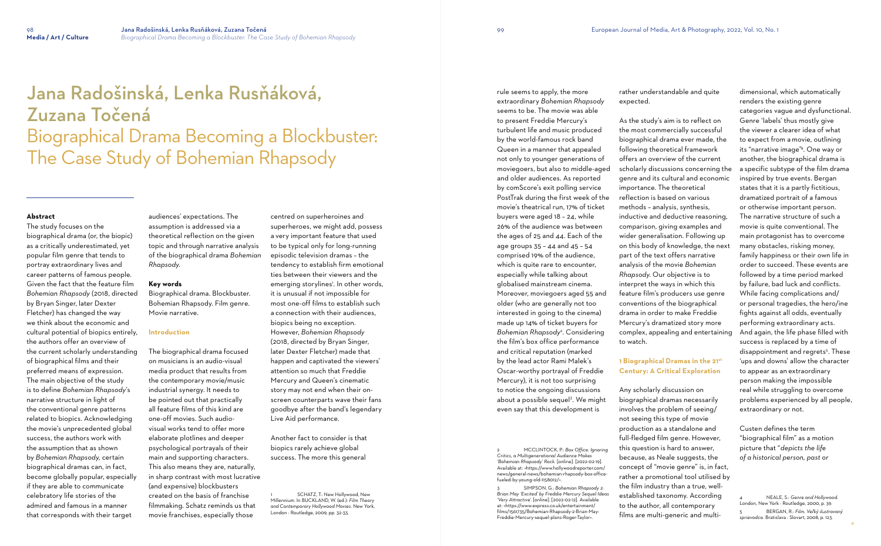# Jana Radošinská, Lenka Rusňáková, Zuzana Točená Biographical Drama Becoming a Blockbuster: The Case Study of Bohemian Rhapsody

## **Abstract**

The study focuses on the biographical drama (or, the biopic) as a critically underestimated, yet popular film genre that tends to portray extraordinary lives and career patterns of famous people. Given the fact that the feature film *Bohemian Rhapsody* (2018, directed by Bryan Singer, later Dexter Fletcher) has changed the way we think about the economic and cultural potential of biopics entirely, the authors offer an overview of the current scholarly understanding of biographical films and their preferred means of expression. The main objective of the study is to define *Bohemian Rhapsody*'s narrative structure in light of the conventional genre patterns related to biopics. Acknowledging the movie's unprecedented global success, the authors work with the assumption that as shown by *Bohemian Rhapsody,* certain biographical dramas can, in fact, become globally popular, especially if they are able to communicate celebratory life stories of the admired and famous in a manner that corresponds with their target

audiences' expectations. The assumption is addressed via a theoretical reflection on the given topic and through narrative analysis of the biographical drama *Bohemian Rhapsody*.

#### **Key words**

Biographical drama. Blockbuster. Bohemian Rhapsody. Film genre. Movie narrative.

> SCHATZ, T.: New Hollywood, New Millennium. In BUCKLAND, W. (ed.): *Film Theory and Contemporary Hollywood Movies*. New York, London : Routledge, 2009, pp. 32-33.

#### **Introduction**

The biographical drama focused on musicians is an audio-visual media product that results from the contemporary movie/music industrial synergy. It needs to be pointed out that practically all feature films of this kind are one-off movies. Such audiovisual works tend to offer more elaborate plotlines and deeper psychological portrayals of their main and supporting characters. This also means they are, naturally, in sharp contrast with most lucrative (and expensive) blockbusters created on the basis of franchise filmmaking. Schatz reminds us that movie franchises, especially those

centred on superheroines and superheroes, we might add, possess a very important feature that used to be typical only for long-running episodic television dramas – the tendency to establish firm emotional ties between their viewers and the emerging storylines<sup>1</sup>. In other words, it is unusual if not impossible for most one-off films to establish such a connection with their audiences, biopics being no exception. However, *Bohemian Rhapsody*  (2018, directed by Bryan Singer, later Dexter Fletcher) made that happen and captivated the viewers' attention so much that Freddie Mercury and Queen's cinematic story may not end when their onscreen counterparts wave their fans goodbye after the band's legendary Live Aid performance.

Another fact to consider is that biopics rarely achieve global success. The more this general

rule seems to apply, the more extraordinary *Bohemian Rhapsody*  seems to be. The movie was able to present Freddie Mercury's turbulent life and music produced by the world-famous rock band Queen in a manner that appealed not only to younger generations of moviegoers, but also to middle-aged and older audiences. As reported by comScore's exit polling service PostTrak during the first week of the movie's theatrical run, 17% of ticket buyers were aged 18 – 24, while 26% of the audience was between the ages of 25 and 44. Each of the age groups 35 – 44 and 45 – 54 comprised 19% of the audience, which is quite rare to encounter, especially while talking about globalised mainstream cinema. Moreover, moviegoers aged 55 and older (who are generally not too interested in going to the cinema) made up 14% of ticket buyers for *Bohemian Rhapsody*<sup>2</sup> . Considering the film's box office performance and critical reputation (marked by the lead actor Rami Malek's Oscar-worthy portrayal of Freddie Mercury), it is not too surprising to notice the ongoing discussions about a possible sequel<sup>3</sup>. We might even say that this development is

2 MCCLINTOCK, P.: *Box Office: Ignoring Critics, a Multigenerational Audience Makes 'Bohemian Rhapsody' Rock.* [online]. [2022-02-19]. Available at: <https://www.hollywoodreporter.com/ news/general-news/bohemian-rhapsody-box-officefueled-by-young-old-1158012/>.

3 SIMPSON, G.: *Bohemian Rhapsody 2: Brian May 'Excited' by Freddie Mercury Sequel Ideas 'Very Attractive'*. [online]. [2022-02-12]. Available at: <https://www.express.co.uk/entertainment/ films/1561735/Bohemian-Rhapsody-2-Brian-May-Freddie-Mercury-sequel-plans-Roger-Taylor>.

dimensional, which automatically renders the existing genre categories vague and dysfunctional. Genre 'labels' thus mostly give the viewer a clearer idea of what to expect from a movie, outlining its "narrative image" 4 . One way or another, the biographical drama is a specific subtype of the film drama inspired by true events. Bergan states that it is a partly fictitious, dramatized portrait of a famous or otherwise important person. The narrative structure of such a movie is quite conventional. The main protagonist has to overcome many obstacles, risking money, family happiness or their own life in order to succeed. These events are followed by a time period marked by failure, bad luck and conflicts. While facing complications and/ or personal tragedies, the hero/ine fights against all odds, eventually performing extraordinary acts. And again, the life phase filled with success is replaced by a time of disappointment and regrets 5 . These 'ups and downs' allow the character to appear as an extraordinary person making the impossible real while struggling to overcome problems experienced by all people, extraordinary or not.

Custen defines the term "biographical film" as a motion picture that "*depicts the life of a historical person, past or* 

4 NEALE, S.: *Genre and Hollywood.* London, New York : Routledge, 2000, p. 39. 5 BERGAN, R.: *Film. Veľký ilustrovaný sprievodca.* Bratislava : Slovart, 2008, p. 123.

rather understandable and quite

expected.

As the study's aim is to reflect on the most commercially successful biographical drama ever made, the following theoretical framework offers an overview of the current scholarly discussions concerning the genre and its cultural and economic importance. The theoretical reflection is based on various methods – analysis, synthesis, inductive and deductive reasoning, comparison, giving examples and wider generalisation. Following up on this body of knowledge, the next part of the text offers narrative analysis of the movie *Bohemian Rhapsody*. Our objective is to interpret the ways in which this feature film's producers use genre conventions of the biographical drama in order to make Freddie Mercury's dramatized story more complex, appealing and entertaining to watch.

# **1 Biographical Dramas in the 21st Century: A Critical Exploration**

Any scholarly discussion on biographical dramas necessarily involves the problem of seeing/ not seeing this type of movie production as a standalone and full-fledged film genre. However, this question is hard to answer, because, as Neale suggests, the concept of "movie genre" is, in fact, rather a promotional tool utilised by the film industry than a true, wellestablished taxonomy. According to the author, all contemporary films are multi-generic and multi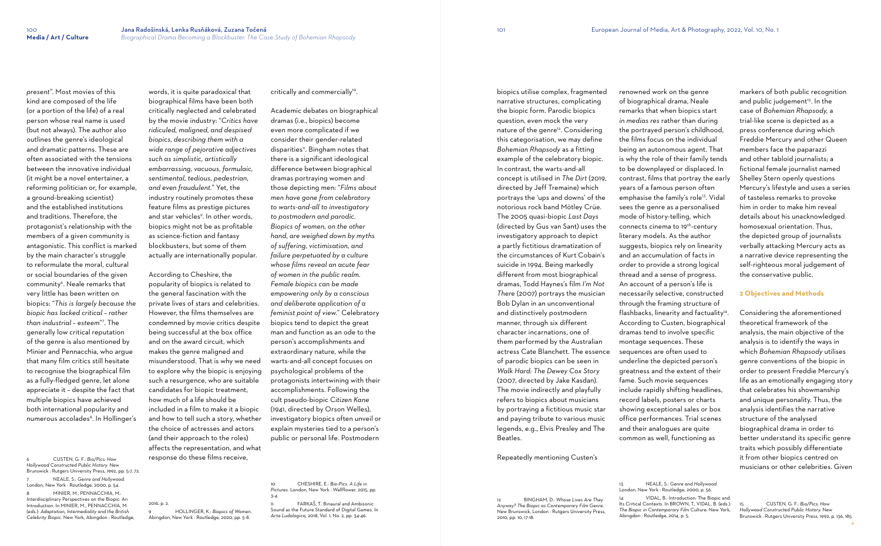*present*". Most movies of this kind are composed of the life (or a portion of the life) of a real person whose real name is used (but not always). The author also outlines the genre's ideological and dramatic patterns. These are often associated with the tensions between the innovative individual (it might be a novel entertainer, a reforming politician or, for example, a ground-breaking scientist) and the established institutions and traditions. Therefore, the protagonist's relationship with the members of a given community is antagonistic. This conflict is marked by the main character's struggle to reformulate the moral, cultural or social boundaries of the given community<sup>6</sup>. Neale remarks that very little has been written on biopics: "*This is largely because the biopic has lacked critical – rather than industrial – esteem*" 7 . The generally low critical reputation of the genre is also mentioned by Minier and Pennacchia, who argue that many film critics still hesitate to recognise the biographical film as a fully-fledged genre, let alone appreciate it – despite the fact that multiple biopics have achieved both international popularity and numerous accolades<sup>8</sup>. In Hollinger's

6 CUSTEN, G. F.: *Bio/Pics: How Hollywood Constructed Public History.* New Brunswick : Rutgers University Press, 1992, pp. 5-7, 72. 7 NEALE, S.: *Genre and Hollywood.* London, New York : Routledge, 2000, p. 54. 8 MINIER, M., PENNACCHIA, M.: Interdisciplinary Perspectives on the Biopic: An Introduction. In MINIER, M., PENNACCHIA, M. (eds.): *Adaptation, Intermediality and the British Celebrity Biopic.* New York, Abingdon : Routledge,

words, it is quite paradoxical that biographical films have been both critically neglected and celebrated by the movie industry: "*Critics have ridiculed, maligned, and despised biopics, describing them with a wide range of pejorative adjectives such as simplistic, artistically embarrassing, vacuous, formulaic, sentimental, tedious, pedestrian, and even fraudulent.*" Yet, the industry routinely promotes these feature films as prestige pictures and star vehicles<sup>9</sup>. In other words, biopics might not be as profitable as science-fiction and fantasy blockbusters, but some of them actually are internationally popular.

> FARKAŠ, T.: Binaural and Ambisonic Sound as the Future Standard of Digital Games. In *Acta Ludologica*, 2018, Vol. 1, No. 2, pp. 34-46.

According to Cheshire, the popularity of biopics is related to the general fascination with the private lives of stars and celebrities. However, the films themselves are condemned by movie critics despite being successful at the box office and on the award circuit, which makes the genre maligned and misunderstood. That is why we need to explore why the biopic is enjoying such a resurgence, who are suitable candidates for biopic treatment, how much of a life should be included in a film to make it a biopic and how to tell such a story, whether the choice of actresses and actors (and their approach to the roles) affects the representation, and what response do these films receive,

2016, p. 2.

critically and commercially $^{\circ}$ .

9 HOLLINGER, K.: *Biopics of Women.*

Abingdon, New York : Routledge, 2020, pp. 5-8.

Academic debates on biographical dramas (i.e., biopics) become even more complicated if we consider their gender-related disparities<sup>11</sup>. Bingham notes that there is a significant ideological difference between biographical dramas portraying women and those depicting men: "*Films about men have gone from celebratory to warts-and-all to investigatory to postmodern and parodic. Biopics of women, on the other hand, are weighed down by myths of suffering, victimisation, and failure perpetuated by a culture whose films reveal an acute fear of women in the public realm. Female biopics can be made empowering only by a conscious and deliberate application of a feminist point of view.*" Celebratory biopics tend to depict the great man and function as an ode to the person's accomplishments and extraordinary nature, while the warts-and-all concept focuses on psychological problems of the protagonists intertwining with their accomplishments. Following the cult pseudo-biopic *Citizen Kane* (1941, directed by Orson Welles), investigatory biopics often unveil or explain mysteries tied to a person's public or personal life. Postmodern

10 CHESHIRE, E.: *Bio-Pics: A Life in Pictures.* London, New York : Wallflower, 2015, pp. 3-4.

biopics utilise complex, fragmented narrative structures, complicating the biopic form. Parodic biopics question, even mock the very nature of the genre<sup>12</sup>. Considering this categorisation, we may define *Bohemian Rhapsody* as a fitting example of the celebratory biopic. In contrast, the warts-and-all concept is utilised in *The Dirt* (2019, directed by Jeff Tremaine) which portrays the 'ups and downs' of the notorious rock band Mötley Crüe. The 2005 quasi-biopic *Last Days*  (directed by Gus van Sant) uses the investigatory approach to depict a partly fictitious dramatization of the circumstances of Kurt Cobain's suicide in 1994. Being markedly different from most biographical dramas, Todd Haynes's film *I'm Not There* (2007) portrays the musician Bob Dylan in an unconventional and distinctively postmodern manner, through six different character incarnations, one of them performed by the Australian actress Cate Blanchett. The essence of parodic biopics can be seen in *Walk Hard: The Dewey Cox Story*  (2007, directed by Jake Kasdan). The movie indirectly and playfully refers to biopics about musicians by portraying a fictitious music star and paying tribute to various music legends, e.g., Elvis Presley and The Beatles.

Repeatedly mentioning Custen's

2010, pp. 10, 17-18.

renowned work on the genre of biographical drama, Neale remarks that when biopics start *in medias res* rather than during the portrayed person's childhood, the films focus on the individual being an autonomous agent. That is why the role of their family tends to be downplayed or displaced. In contrast, films that portray the early years of a famous person often emphasise the family's role<sup>13</sup>. Vidal sees the genre as a personalised mode of history-telling, which connects cinema to 19<sup>th</sup>-century literary models. As the author suggests, biopics rely on linearity and an accumulation of facts in order to provide a strong logical thread and a sense of progress. An account of a person's life is necessarily selective, constructed through the framing structure of flashbacks, linearity and factuality<sup>14</sup>. According to Custen, biographical dramas tend to involve specific montage sequences. These sequences are often used to underline the depicted person's greatness and the extent of their fame. Such movie sequences include rapidly shifting headlines, record labels, posters or charts showing exceptional sales or box office performances. Trial scenes and their analogues are quite common as well, functioning as

12 BINGHAM, D.: *Whose Lives Are They Anyway? The Biopic as Contemporary Film Genre.* New Brunswick, London : Rutgers University Press, 13 NEALE, S.: *Genre and Hollywood.* VIDAL, B.: Introduction: The Biopic and Its Critical Contexts. In BROWN, T., VIDAL, B. (eds.): *The Biopic in Contemporary Film Culture.* New York, Abingdon : Routledge, 2014, p. 5.

London, New York : Routledge, 2000, p. 56.

markers of both public recognition and public judgement 15 . In the case of *Bohemian Rhapsody,* a trial-like scene is depicted as a press conference during which Freddie Mercury and other Queen members face the paparazzi and other tabloid journalists; a fictional female journalist named Shelley Stern openly questions Mercury's lifestyle and uses a series of tasteless remarks to provoke him in order to make him reveal details about his unacknowledged homosexual orientation. Thus, the depicted group of journalists verbally attacking Mercury acts as a narrative device representing the self-righteous moral judgement of the conservative public.

## **2 Objectives and Methods**

Considering the aforementioned theoretical framework of the analysis, the main objective of the analysis is to identify the ways in which *Bohemian Rhapsody* utilises genre conventions of the biopic in order to present Freddie Mercury's life as an emotionally engaging story that celebrates his showmanship and unique personality. Thus, the analysis identifies the narrative structure of the analysed biographical drama in order to better understand its specific genre traits which possibly differentiate it from other biopics centred on musicians or other celebrities. Given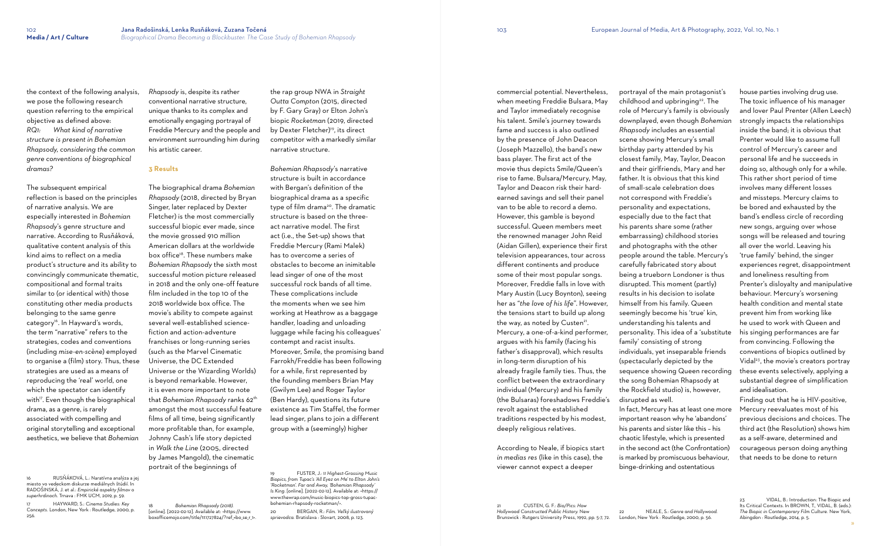the context of the following analysis, we pose the following research question referring to the empirical objective as defined above: *RQ1: What kind of narrative structure is present in Bohemian Rhapsody, considering the common genre conventions of biographical dramas?*

The subsequent empirical reflection is based on the principles of narrative analysis. We are especially interested in *Bohemian Rhapsody*'s genre structure and narrative. According to Rusňáková, qualitative content analysis of this kind aims to reflect on a media product's structure and its ability to convincingly communicate thematic, compositional and formal traits similar to (or identical with) those constituting other media products belonging to the same genre category<sup>16</sup>. In Hayward's words, the term "narrative" refers to the strategies, codes and conventions (including *mise-en-scène*) employed to organise a (film) story. Thus, these strategies are used as a means of reproducing the 'real' world, one which the spectator can identify with<sup>17</sup>. Even though the biographical drama, as a genre, is rarely associated with compelling and original storytelling and exceptional aesthetics, we believe that *Bohemian* 

16 RUSŇÁKOVÁ, L.: Naratívna analýza a jej miesto vo vedeckom diskurze mediálnych štúdií. In RADOŠINSKÁ, J. et al.: *Empirické aspekty filmov o superhrdinoch*. Trnava : FMK UCM, 2019, p. 59.

17 HAYWARD, S.: *Cinema Studies: Key Concepts.* London, New York : Routledge, 2000, p. 256.

*Rhapsody* is, despite its rather conventional narrative structure, unique thanks to its complex and emotionally engaging portrayal of Freddie Mercury and the people and environment surrounding him during his artistic career.

### **3 Results**

The biographical drama *Bohemian Rhapsody* (2018, directed by Bryan Singer, later replaced by Dexter Fletcher) is the most commercially successful biopic ever made, since the movie grossed 910 million American dollars at the worldwide box office18. These numbers make *Bohemian Rhapsody* the sixth most successful motion picture released in 2018 and the only one-off feature film included in the top 10 of the 2018 worldwide box office. The movie's ability to compete against several well-established sciencefiction and action-adventure franchises or long-running series (such as the Marvel Cinematic Universe, the DC Extended Universe or the Wizarding Worlds) is beyond remarkable. However, it is even more important to note that *Bohemian Rhapsody* ranks 62th amongst the most successful feature films of all time, being significantly more profitable than, for example, Johnny Cash's life story depicted in *Walk the Line* (2005, directed by James Mangold), the cinematic portrait of the beginnings of

18 *Bohemian Rhapsody (2018).*  [online]. [2022-02-12]. Available at: <https://www. boxofficemojo.com/title/tt1727824/?ref\_=bo\_se\_r\_1>.

the rap group NWA in *Straight Outta Compton* (2015, directed by F. Gary Gray) or Elton John's biopic *Rocketman* (2019, directed by Dexter Fletcher)<sup>19</sup>, its direct competitor with a markedly similar narrative structure.

*Bohemian Rhapsody*'s narrative structure is built in accordance with Bergan's definition of the biographical drama as a specific type of film drama<sup>20</sup>. The dramatic structure is based on the threeact narrative model. The first act (i.e., the Set-up) shows that Freddie Mercury (Rami Malek) has to overcome a series of obstacles to become an inimitable lead singer of one of the most successful rock bands of all time. These complications include the moments when we see him working at Heathrow as a baggage handler, loading and unloading luggage while facing his colleagues' contempt and racist insults. Moreover, Smile, the promising band Farrokh/Freddie has been following for a while, first represented by the founding members Brian May (Gwilym Lee) and Roger Taylor (Ben Hardy), questions its future existence as Tim Staffel, the former lead singer, plans to join a different group with a (seemingly) higher

19 FUSTER, J.: *11 Highest-Grossing Music Biopics, from Tupac's 'All Eyez on Me' to Elton John's 'Rocketman'. Far and Away, 'Bohemian Rhapsody' Is King*. [online]. [2022-02-12]. Available at: <https:// www.thewrap.com/music-biopics-top-gross-tupacbohemian-rhapsody-rocketman/>.

VIDAL, B.: Introduction: The Biopic and Its Critical Contexts. In BROWN, T., VIDAL, B. (eds.): *The Biopic in Contemporary Film Culture.* New York, Abingdon : Routledge, 2014, p. 5.

20 BERGAN, R.: *Film. Veľký ilustrovaný sprievodca.* Bratislava : Slovart, 2008, p. 123.

commercial potential. Nevertheless, when meeting Freddie Bulsara, May and Taylor immediately recognise his talent. Smile's journey towards fame and success is also outlined by the presence of John Deacon (Joseph Mazzello), the band's new bass player. The first act of the movie thus depicts Smile/Queen's rise to fame. Bulsara/Mercury, May, Taylor and Deacon risk their hardearned savings and sell their panel van to be able to record a demo. However, this gamble is beyond successful. Queen members meet the renowned manager John Reid (Aidan Gillen), experience their first television appearances, tour across different continents and produce some of their most popular songs. Moreover, Freddie falls in love with Mary Austin (Lucy Boynton), seeing her as "*the love of his life*". However, the tensions start to build up along the way, as noted by Custen<sup>21</sup>. Mercury, a one-of-a-kind performer, argues with his family (facing his father's disapproval), which results in long-term disruption of his already fragile family ties. Thus, the conflict between the extraordinary individual (Mercury) and his family (the Bulsaras) foreshadows Freddie's revolt against the established traditions respected by his modest, deeply religious relatives.

According to Neale, if biopics start *in medias res* (like in this case), the viewer cannot expect a deeper

portrayal of the main protagonist's childhood and upbringing<sup>22</sup>. The role of Mercury's family is obviously downplayed, even though *Bohemian Rhapsody* includes an essential scene showing Mercury's small birthday party attended by his closest family, May, Taylor, Deacon and their girlfriends, Mary and her father. It is obvious that this kind of small-scale celebration does not correspond with Freddie's personality and expectations, especially due to the fact that his parents share some (rather embarrassing) childhood stories and photographs with the other people around the table. Mercury's carefully fabricated story about being a trueborn Londoner is thus disrupted. This moment (partly) results in his decision to isolate himself from his family. Queen seemingly become his 'true' kin, understanding his talents and personality. This idea of a 'substitute family' consisting of strong individuals, yet inseparable friends (spectacularly depicted by the sequence showing Queen recording the song Bohemian Rhapsody at the Rockfield studio) is, however, disrupted as well. In fact, Mercury has at least one more important reason why he 'abandons' his parents and sister like this – his chaotic lifestyle, which is presented in the second act (the Confrontation) is marked by promiscuous behaviour, binge-drinking and ostentatious

house parties involving drug use. The toxic influence of his manager and lover Paul Prenter (Allen Leech) strongly impacts the relationships inside the band; it is obvious that Prenter would like to assume full control of Mercury's career and personal life and he succeeds in doing so, although only for a while. This rather short period of time involves many different losses and missteps. Mercury claims to be bored and exhausted by the band's endless circle of recording new songs, arguing over whose songs will be released and touring all over the world. Leaving his 'true family' behind, the singer experiences regret, disappointment and loneliness resulting from Prenter's disloyalty and manipulative behaviour. Mercury's worsening health condition and mental state prevent him from working like he used to work with Queen and his singing performances are far from convincing. Following the conventions of biopics outlined by Vidal 23 , the movie's creators portray these events selectively, applying a substantial degree of simplification and idealisation.

Finding out that he is HIV-positive, Mercury reevaluates most of his previous decisions and choices. The third act (the Resolution) shows him as a self-aware, determined and courageous person doing anything that needs to be done to return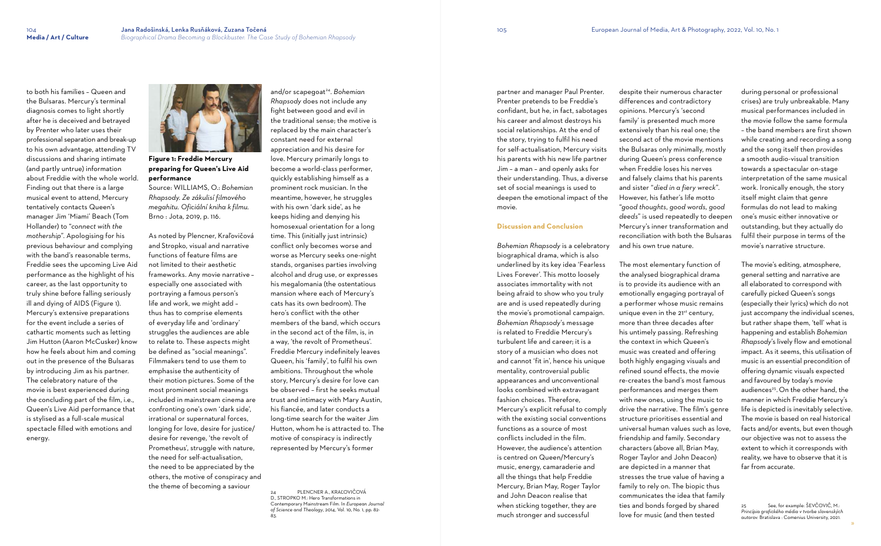to both his families – Queen and

the Bulsaras. Mercury's terminal diagnosis comes to light shortly after he is deceived and betrayed by Prenter who later uses their professional separation and break-up to his own advantage, attending TV discussions and sharing intimate (and partly untrue) information about Freddie with the whole world. Finding out that there is a large musical event to attend, Mercury tentatively contacts Queen's manager Jim 'Miami' Beach (Tom Hollander) to "*connect with the mothership*". Apologising for his previous behaviour and complying with the band's reasonable terms, Freddie sees the upcoming Live Aid performance as the highlight of his career, as the last opportunity to truly shine before falling seriously ill and dying of AIDS (Figure 1). Mercury's extensive preparations for the event include a series of cathartic moments such as letting Jim Hutton (Aaron McCusker) know how he feels about him and coming out in the presence of the Bulsaras by introducing Jim as his partner. The celebratory nature of the movie is best experienced during the concluding part of the film, i.e., Queen's Live Aid performance that is stylised as a full-scale musical spectacle filled with emotions and energy.



**Figure 1: Freddie Mercury preparing for Queen's Live Aid performance** 

Source: WILLIAMS, O.: *Bohemian Rhapsody. Ze zákulisí filmového megahitu. Oficiální kniha k filmu.*  Brno : Jota, 2019, p. 116.

As noted by Plencner, Kraľovičová and Stropko, visual and narrative functions of feature films are not limited to their aesthetic frameworks. Any movie narrative – especially one associated with portraying a famous person's life and work, we might add – thus has to comprise elements of everyday life and 'ordinary' struggles the audiences are able to relate to. These aspects might be defined as "social meanings". Filmmakers tend to use them to emphasise the authenticity of their motion pictures. Some of the most prominent social meanings included in mainstream cinema are confronting one's own 'dark side', irrational or supernatural forces, longing for love, desire for justice/ desire for revenge, 'the revolt of Prometheus', struggle with nature, the need for self-actualisation, the need to be appreciated by the others, the motive of conspiracy and the theme of becoming a saviour

and/or scapegoat<sup>24</sup> . *Bohemian Rhapsody* does not include any fight between good and evil in the traditional sense; the motive is replaced by the main character's constant need for external appreciation and his desire for love. Mercury primarily longs to become a world-class performer, quickly establishing himself as a prominent rock musician. In the meantime, however, he struggles with his own 'dark side', as he keeps hiding and denying his homosexual orientation for a long time. This (initially just intrinsic) conflict only becomes worse and worse as Mercury seeks one-night stands, organises parties involving alcohol and drug use, or expresses his megalomania (the ostentatious mansion where each of Mercury's cats has its own bedroom). The hero's conflict with the other members of the band, which occurs in the second act of the film, is, in a way, 'the revolt of Prometheus'. Freddie Mercury indefinitely leaves Queen, his 'family', to fulfil his own ambitions. Throughout the whole story, Mercury's desire for love can be observed – first he seeks mutual trust and intimacy with Mary Austin, his fiancée, and later conducts a long-time search for the waiter Jim Hutton, whom he is attracted to. The motive of conspiracy is indirectly represented by Mercury's former

24 PLENCNER A., KRAĽOVIČOVÁ D., STROPKO M.: Hero Transformations in Contemporary Mainstream Film. In *European Journal of Science and Theology*, 2014, Vol. 10, No. 1, pp. 82- 83.

See, for example: ŠEVČOVIČ, M.: *Princípia grafického média v tvorbe slovenských autorov.* Bratislava : Comenius University, 2021.

partner and manager Paul Prenter. Prenter pretends to be Freddie's confidant, but he, in fact, sabotages his career and almost destroys his social relationships. At the end of the story, trying to fulfil his need for self-actualisation, Mercury visits his parents with his new life partner Jim – a man – and openly asks for their understanding. Thus, a diverse set of social meanings is used to deepen the emotional impact of the movie.

### **Discussion and Conclusion**

*Bohemian Rhapsody* is a celebratory biographical drama, which is also underlined by its key idea 'Fearless Lives Forever'. This motto loosely associates immortality with not being afraid to show who you truly are and is used repeatedly during the movie's promotional campaign. *Bohemian Rhapsody*'s message is related to Freddie Mercury's turbulent life and career; it is a story of a musician who does not and cannot 'fit in', hence his unique mentality, controversial public appearances and unconventional looks combined with extravagant fashion choices. Therefore, Mercury's explicit refusal to comply with the existing social conventions functions as a source of most conflicts included in the film. However, the audience's attention is centred on Queen/Mercury's music, energy, camaraderie and all the things that help Freddie Mercury, Brian May, Roger Taylor and John Deacon realise that when sticking together, they are much stronger and successful

despite their numerous character differences and contradictory opinions. Mercury's 'second family' is presented much more extensively than his real one; the second act of the movie mentions the Bulsaras only minimally, mostly during Queen's press conference when Freddie loses his nerves and falsely claims that his parents and sister "*died in a fiery wreck*". However, his father's life motto "*good thoughts, good words, good deeds*" is used repeatedly to deepen Mercury's inner transformation and reconciliation with both the Bulsaras and his own true nature.

The most elementary function of the analysed biographical drama is to provide its audience with an emotionally engaging portrayal of a performer whose music remains unique even in the 21<sup>st</sup> century, more than three decades after his untimely passing. Refreshing the context in which Queen's music was created and offering both highly engaging visuals and refined sound effects, the movie re-creates the band's most famous performances and merges them with new ones, using the music to drive the narrative. The film's genre structure prioritises essential and universal human values such as love, friendship and family. Secondary characters (above all, Brian May, Roger Taylor and John Deacon) are depicted in a manner that stresses the true value of having a family to rely on. The biopic thus communicates the idea that family ties and bonds forged by shared love for music (and then tested

during personal or professional crises) are truly unbreakable. Many musical performances included in the movie follow the same formula – the band members are first shown while creating and recording a song and the song itself then provides a smooth audio-visual transition towards a spectacular on-stage interpretation of the same musical work. Ironically enough, the story itself might claim that genre formulas do not lead to making one's music either innovative or outstanding, but they actually do fulfil their purpose in terms of the movie's narrative structure.

The movie's editing, atmosphere, general setting and narrative are all elaborated to correspond with carefully picked Queen's songs (especially their lyrics) which do not just accompany the individual scenes, but rather shape them, 'tell' what is happening and establish *Bohemian Rhapsody*'s lively flow and emotional impact. As it seems, this utilisation of music is an essential precondition of offering dynamic visuals expected and favoured by today's movie audiences 25 . On the other hand, the manner in which Freddie Mercury's life is depicted is inevitably selective. The movie is based on real historical facts and/or events, but even though our objective was not to assess the extent to which it corresponds with reality, we have to observe that it is far from accurate.